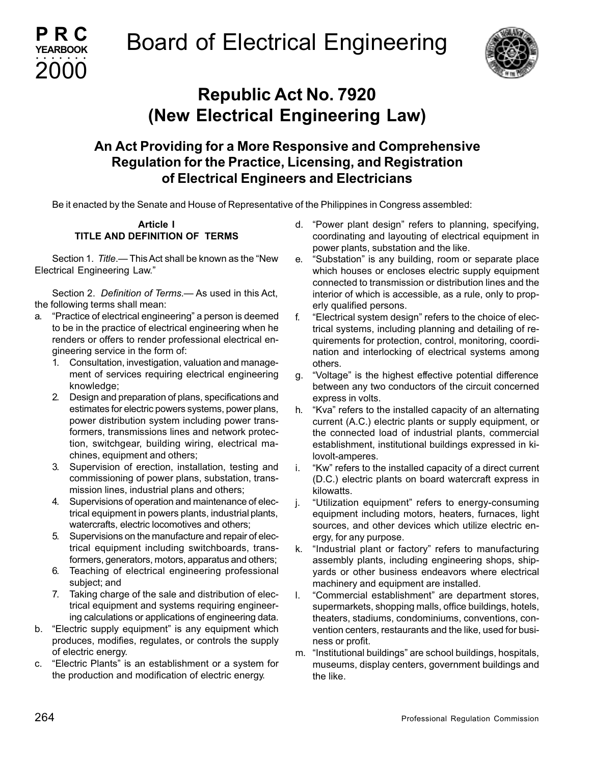



# **Republic Act No. 7920 (New Electrical Engineering Law)**

### **An Act Providing for a More Responsive and Comprehensive Regulation for the Practice, Licensing, and Registration of Electrical Engineers and Electricians**

Be it enacted by the Senate and House of Representative of the Philippines in Congress assembled:

### **Article I TITLE AND DEFINITION OF TERMS**

Section 1. *Title*.— This Act shall be known as the "New Electrical Engineering Law."

Section 2. *Definition of Terms*.— As used in this Act, the following terms shall mean:

- a. "Practice of electrical engineering" a person is deemed to be in the practice of electrical engineering when he renders or offers to render professional electrical engineering service in the form of:
	- 1. Consultation, investigation, valuation and management of services requiring electrical engineering knowledge;
	- 2. Design and preparation of plans, specifications and estimates for electric powers systems, power plans, power distribution system including power transformers, transmissions lines and network protection, switchgear, building wiring, electrical machines, equipment and others;
	- 3. Supervision of erection, installation, testing and commissioning of power plans, substation, transmission lines, industrial plans and others;
	- 4. Supervisions of operation and maintenance of electrical equipment in powers plants, industrial plants, watercrafts, electric locomotives and others;
	- 5. Supervisions on the manufacture and repair of electrical equipment including switchboards, transformers, generators, motors, apparatus and others;
	- 6. Teaching of electrical engineering professional subject; and
	- 7. Taking charge of the sale and distribution of electrical equipment and systems requiring engineering calculations or applications of engineering data.
- b. "Electric supply equipment" is any equipment which produces, modifies, regulates, or controls the supply of electric energy.
- c. "Electric Plants" is an establishment or a system for the production and modification of electric energy.
- d. "Power plant design" refers to planning, specifying, coordinating and layouting of electrical equipment in power plants, substation and the like.
- e. "Substation" is any building, room or separate place which houses or encloses electric supply equipment connected to transmission or distribution lines and the interior of which is accessible, as a rule, only to properly qualified persons.
- f. "Electrical system design" refers to the choice of electrical systems, including planning and detailing of requirements for protection, control, monitoring, coordination and interlocking of electrical systems among others.
- g. "Voltage" is the highest effective potential difference between any two conductors of the circuit concerned express in volts.
- h. "Kva" refers to the installed capacity of an alternating current (A.C.) electric plants or supply equipment, or the connected load of industrial plants, commercial establishment, institutional buildings expressed in kilovolt-amperes.
- i. "Kw" refers to the installed capacity of a direct current (D.C.) electric plants on board watercraft express in kilowatts.
- j. "Utilization equipment" refers to energy-consuming equipment including motors, heaters, furnaces, light sources, and other devices which utilize electric energy, for any purpose.
- k. "Industrial plant or factory" refers to manufacturing assembly plants, including engineering shops, shipyards or other business endeavors where electrical machinery and equipment are installed.
- l. "Commercial establishment" are department stores, supermarkets, shopping malls, office buildings, hotels, theaters, stadiums, condominiums, conventions, convention centers, restaurants and the like, used for business or profit.
- m. "Institutional buildings" are school buildings, hospitals, museums, display centers, government buildings and the like.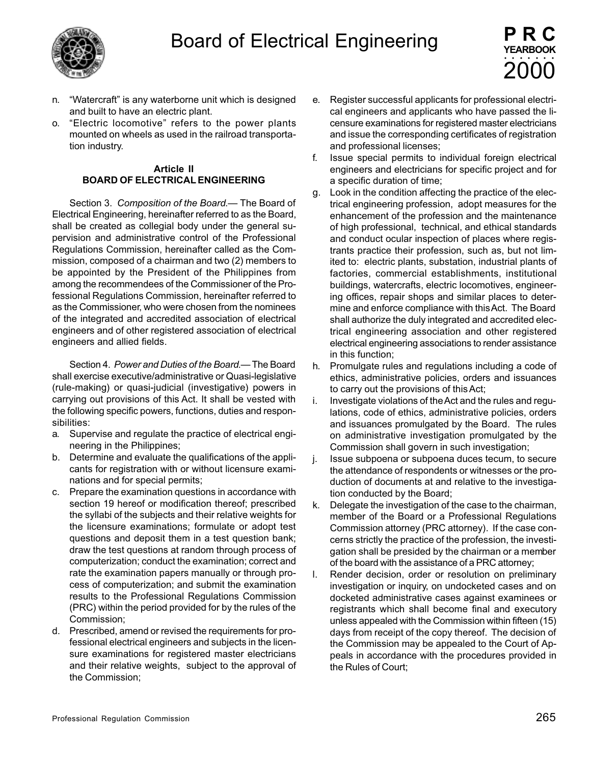

- n. "Watercraft" is any waterborne unit which is designed and built to have an electric plant.
- o. "Electric locomotive" refers to the power plants mounted on wheels as used in the railroad transportation industry.

#### **Article II BOARD OF ELECTRICAL ENGINEERING**

Section 3. *Composition of the Board*.— The Board of Electrical Engineering, hereinafter referred to as the Board, shall be created as collegial body under the general supervision and administrative control of the Professional Regulations Commission, hereinafter called as the Commission, composed of a chairman and two (2) members to be appointed by the President of the Philippines from among the recommendees of the Commissioner of the Professional Regulations Commission, hereinafter referred to as the Commissioner, who were chosen from the nominees of the integrated and accredited association of electrical engineers and of other registered association of electrical engineers and allied fields.

Section 4. *Power and Duties of the Board*.— The Board shall exercise executive/administrative or Quasi-legislative (rule-making) or quasi-judicial (investigative) powers in carrying out provisions of this Act. It shall be vested with the following specific powers, functions, duties and responsibilities:

- a. Supervise and regulate the practice of electrical engineering in the Philippines;
- b. Determine and evaluate the qualifications of the applicants for registration with or without licensure examinations and for special permits;
- c. Prepare the examination questions in accordance with section 19 hereof or modification thereof; prescribed the syllabi of the subjects and their relative weights for the licensure examinations; formulate or adopt test questions and deposit them in a test question bank; draw the test questions at random through process of computerization; conduct the examination; correct and rate the examination papers manually or through process of computerization; and submit the examination results to the Professional Regulations Commission (PRC) within the period provided for by the rules of the Commission;
- d. Prescribed, amend or revised the requirements for professional electrical engineers and subjects in the licensure examinations for registered master electricians and their relative weights, subject to the approval of the Commission;
- e. Register successful applicants for professional electrical engineers and applicants who have passed the licensure examinations for registered master electricians and issue the corresponding certificates of registration and professional licenses;
- f. Issue special permits to individual foreign electrical engineers and electricians for specific project and for a specific duration of time;
- g. Look in the condition affecting the practice of the electrical engineering profession, adopt measures for the enhancement of the profession and the maintenance of high professional, technical, and ethical standards and conduct ocular inspection of places where registrants practice their profession, such as, but not limited to: electric plants, substation, industrial plants of factories, commercial establishments, institutional buildings, watercrafts, electric locomotives, engineering offices, repair shops and similar places to determine and enforce compliance with this Act. The Board shall authorize the duly integrated and accredited electrical engineering association and other registered electrical engineering associations to render assistance in this function;
- h. Promulgate rules and regulations including a code of ethics, administrative policies, orders and issuances to carry out the provisions of this Act;
- i. Investigate violations of the Act and the rules and regulations, code of ethics, administrative policies, orders and issuances promulgated by the Board. The rules on administrative investigation promulgated by the Commission shall govern in such investigation;
- j. Issue subpoena or subpoena duces tecum, to secure the attendance of respondents or witnesses or the production of documents at and relative to the investigation conducted by the Board;
- k. Delegate the investigation of the case to the chairman, member of the Board or a Professional Regulations Commission attorney (PRC attorney). If the case concerns strictly the practice of the profession, the investigation shall be presided by the chairman or a member of the board with the assistance of a PRC attorney;
- l. Render decision, order or resolution on preliminary investigation or inquiry, on undocketed cases and on docketed administrative cases against examinees or registrants which shall become final and executory unless appealed with the Commission within fifteen (15) days from receipt of the copy thereof. The decision of the Commission may be appealed to the Court of Appeals in accordance with the procedures provided in the Rules of Court;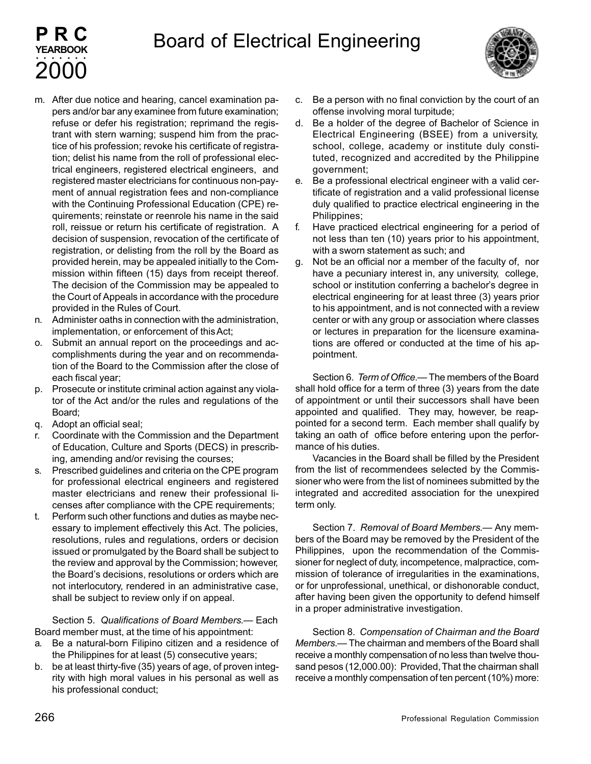

- m. After due notice and hearing, cancel examination papers and/or bar any examinee from future examination; refuse or defer his registration; reprimand the registrant with stern warning; suspend him from the practice of his profession; revoke his certificate of registration; delist his name from the roll of professional electrical engineers, registered electrical engineers, and registered master electricians for continuous non-payment of annual registration fees and non-compliance with the Continuing Professional Education (CPE) requirements; reinstate or reenrole his name in the said roll, reissue or return his certificate of registration. A decision of suspension, revocation of the certificate of registration, or delisting from the roll by the Board as provided herein, may be appealed initially to the Commission within fifteen (15) days from receipt thereof. The decision of the Commission may be appealed to the Court of Appeals in accordance with the procedure provided in the Rules of Court.
- n. Administer oaths in connection with the administration, implementation, or enforcement of this Act;
- o. Submit an annual report on the proceedings and accomplishments during the year and on recommendation of the Board to the Commission after the close of each fiscal year;
- p. Prosecute or institute criminal action against any violator of the Act and/or the rules and regulations of the Board;
- q. Adopt an official seal;

**PRC YEARBOOK**

2000 aaaaaaa

- r. Coordinate with the Commission and the Department of Education, Culture and Sports (DECS) in prescribing, amending and/or revising the courses;
- s. Prescribed guidelines and criteria on the CPE program for professional electrical engineers and registered master electricians and renew their professional licenses after compliance with the CPE requirements;
- t. Perform such other functions and duties as maybe necessary to implement effectively this Act. The policies, resolutions, rules and regulations, orders or decision issued or promulgated by the Board shall be subject to the review and approval by the Commission; however, the Board's decisions, resolutions or orders which are not interlocutory, rendered in an administrative case, shall be subject to review only if on appeal.

Section 5. *Qualifications of Board Members*.— Each Board member must, at the time of his appointment:

- a. Be a natural-born Filipino citizen and a residence of the Philippines for at least (5) consecutive years;
- b. be at least thirty-five (35) years of age, of proven integrity with high moral values in his personal as well as his professional conduct;
- c. Be a person with no final conviction by the court of an offense involving moral turpitude;
- d. Be a holder of the degree of Bachelor of Science in Electrical Engineering (BSEE) from a university, school, college, academy or institute duly constituted, recognized and accredited by the Philippine government;
- e. Be a professional electrical engineer with a valid certificate of registration and a valid professional license duly qualified to practice electrical engineering in the Philippines;
- f. Have practiced electrical engineering for a period of not less than ten (10) years prior to his appointment, with a sworn statement as such; and
- g. Not be an official nor a member of the faculty of, nor have a pecuniary interest in, any university, college, school or institution conferring a bachelor's degree in electrical engineering for at least three (3) years prior to his appointment, and is not connected with a review center or with any group or association where classes or lectures in preparation for the licensure examinations are offered or conducted at the time of his appointment.

Section 6. *Term of Office*.— The members of the Board shall hold office for a term of three (3) years from the date of appointment or until their successors shall have been appointed and qualified. They may, however, be reappointed for a second term. Each member shall qualify by taking an oath of office before entering upon the performance of his duties.

Vacancies in the Board shall be filled by the President from the list of recommendees selected by the Commissioner who were from the list of nominees submitted by the integrated and accredited association for the unexpired term only.

Section 7. *Removal of Board Members*.— Any members of the Board may be removed by the President of the Philippines, upon the recommendation of the Commissioner for neglect of duty, incompetence, malpractice, commission of tolerance of irregularities in the examinations, or for unprofessional, unethical, or dishonorable conduct, after having been given the opportunity to defend himself in a proper administrative investigation.

Section 8. *Compensation of Chairman and the Board Members*.— The chairman and members of the Board shall receive a monthly compensation of no less than twelve thousand pesos (12,000.00): Provided, That the chairman shall receive a monthly compensation of ten percent (10%) more: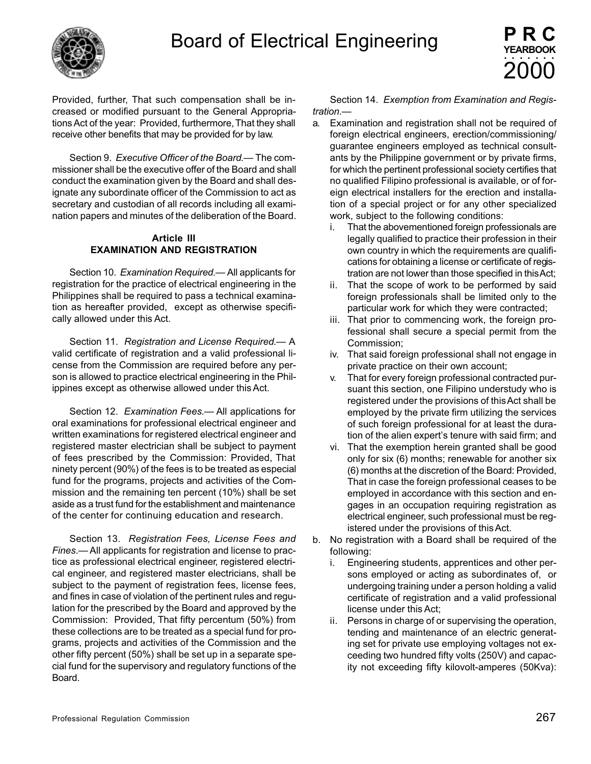

Provided, further, That such compensation shall be increased or modified pursuant to the General Appropriations Act of the year: Provided, furthermore, That they shall receive other benefits that may be provided for by law.

Section 9. *Executive Officer of the Board*.— The commissioner shall be the executive offer of the Board and shall conduct the examination given by the Board and shall designate any subordinate officer of the Commission to act as secretary and custodian of all records including all examination papers and minutes of the deliberation of the Board.

#### **Article III EXAMINATION AND REGISTRATION**

Section 10. *Examination Required*.— All applicants for registration for the practice of electrical engineering in the Philippines shall be required to pass a technical examination as hereafter provided, except as otherwise specifically allowed under this Act.

Section 11. *Registration and License Required*.— A valid certificate of registration and a valid professional license from the Commission are required before any person is allowed to practice electrical engineering in the Philippines except as otherwise allowed under this Act.

Section 12. *Examination Fees*.— All applications for oral examinations for professional electrical engineer and written examinations for registered electrical engineer and registered master electrician shall be subject to payment of fees prescribed by the Commission: Provided, That ninety percent (90%) of the fees is to be treated as especial fund for the programs, projects and activities of the Commission and the remaining ten percent (10%) shall be set aside as a trust fund for the establishment and maintenance of the center for continuing education and research.

Section 13. *Registration Fees, License Fees and Fines*.— All applicants for registration and license to practice as professional electrical engineer, registered electrical engineer, and registered master electricians, shall be subject to the payment of registration fees, license fees, and fines in case of violation of the pertinent rules and regulation for the prescribed by the Board and approved by the Commission: Provided, That fifty percentum (50%) from these collections are to be treated as a special fund for programs, projects and activities of the Commission and the other fifty percent (50%) shall be set up in a separate special fund for the supervisory and regulatory functions of the Board.

Section 14. *Exemption from Examination and Registration*.—

- a. Examination and registration shall not be required of foreign electrical engineers, erection/commissioning/ guarantee engineers employed as technical consultants by the Philippine government or by private firms, for which the pertinent professional society certifies that no qualified Filipino professional is available, or of foreign electrical installers for the erection and installation of a special project or for any other specialized work, subject to the following conditions:
	- i. That the abovementioned foreign professionals are legally qualified to practice their profession in their own country in which the requirements are qualifications for obtaining a license or certificate of registration are not lower than those specified in this Act;
	- ii. That the scope of work to be performed by said foreign professionals shall be limited only to the particular work for which they were contracted;
	- iii. That prior to commencing work, the foreign professional shall secure a special permit from the Commission;
	- iv. That said foreign professional shall not engage in private practice on their own account;
	- v. That for every foreign professional contracted pursuant this section, one Filipino understudy who is registered under the provisions of this Act shall be employed by the private firm utilizing the services of such foreign professional for at least the duration of the alien expert's tenure with said firm; and
	- vi. That the exemption herein granted shall be good only for six (6) months; renewable for another six (6) months at the discretion of the Board: Provided, That in case the foreign professional ceases to be employed in accordance with this section and engages in an occupation requiring registration as electrical engineer, such professional must be registered under the provisions of this Act.
- b. No registration with a Board shall be required of the following:
	- i. Engineering students, apprentices and other persons employed or acting as subordinates of, or undergoing training under a person holding a valid certificate of registration and a valid professional license under this Act;
	- ii. Persons in charge of or supervising the operation, tending and maintenance of an electric generating set for private use employing voltages not exceeding two hundred fifty volts (250V) and capacity not exceeding fifty kilovolt-amperes (50Kva):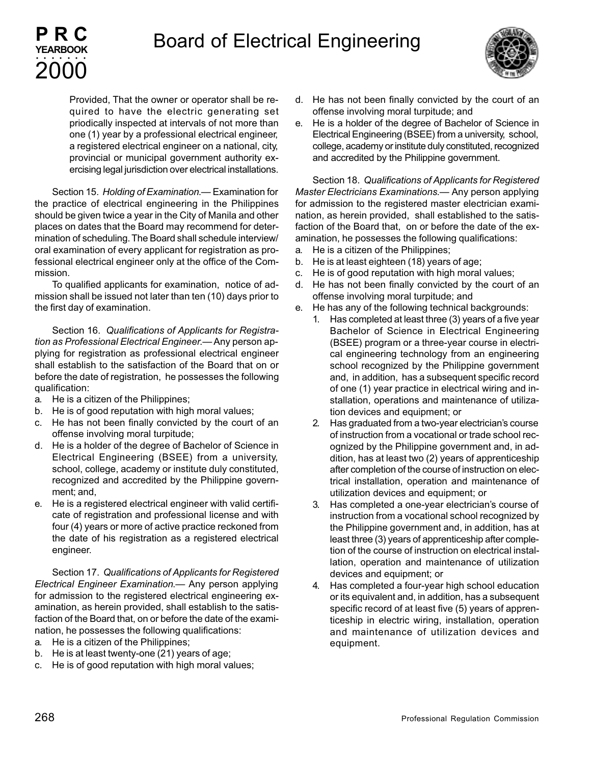

Provided, That the owner or operator shall be required to have the electric generating set priodically inspected at intervals of not more than one (1) year by a professional electrical engineer, a registered electrical engineer on a national, city, provincial or municipal government authority exercising legal jurisdiction over electrical installations.

Section 15. *Holding of Examination*.— Examination for the practice of electrical engineering in the Philippines should be given twice a year in the City of Manila and other places on dates that the Board may recommend for determination of scheduling. The Board shall schedule interview/ oral examination of every applicant for registration as professional electrical engineer only at the office of the Commission.

To qualified applicants for examination, notice of admission shall be issued not later than ten (10) days prior to the first day of examination.

Section 16. *Qualifications of Applicants for Registration as Professional Electrical Engineer*.— Any person applying for registration as professional electrical engineer shall establish to the satisfaction of the Board that on or before the date of registration, he possesses the following qualification:

a. He is a citizen of the Philippines;

**PRC YEARBOOK**

2000 aaaaaaa

- b. He is of good reputation with high moral values;
- c. He has not been finally convicted by the court of an offense involving moral turpitude;
- d. He is a holder of the degree of Bachelor of Science in Electrical Engineering (BSEE) from a university, school, college, academy or institute duly constituted, recognized and accredited by the Philippine government; and,
- e. He is a registered electrical engineer with valid certificate of registration and professional license and with four (4) years or more of active practice reckoned from the date of his registration as a registered electrical engineer.

Section 17. *Qualifications of Applicants for Registered Electrical Engineer Examination*.— Any person applying for admission to the registered electrical engineering examination, as herein provided, shall establish to the satisfaction of the Board that, on or before the date of the examination, he possesses the following qualifications:

- a. He is a citizen of the Philippines;
- b. He is at least twenty-one (21) years of age;
- c. He is of good reputation with high moral values;
- d. He has not been finally convicted by the court of an offense involving moral turpitude; and
- e. He is a holder of the degree of Bachelor of Science in Electrical Engineering (BSEE) from a university, school, college, academy or institute duly constituted, recognized and accredited by the Philippine government.

Section 18. *Qualifications of Applicants for Registered Master Electricians Examinations*.— Any person applying for admission to the registered master electrician examination, as herein provided, shall established to the satisfaction of the Board that, on or before the date of the examination, he possesses the following qualifications:

- a. He is a citizen of the Philippines;
- b. He is at least eighteen (18) years of age;
- c. He is of good reputation with high moral values;
- d. He has not been finally convicted by the court of an offense involving moral turpitude; and
- e. He has any of the following technical backgrounds:
	- 1. Has completed at least three (3) years of a five year Bachelor of Science in Electrical Engineering (BSEE) program or a three-year course in electrical engineering technology from an engineering school recognized by the Philippine government and, in addition, has a subsequent specific record of one (1) year practice in electrical wiring and installation, operations and maintenance of utilization devices and equipment; or
	- 2. Has graduated from a two-year electrician's course of instruction from a vocational or trade school recognized by the Philippine government and, in addition, has at least two (2) years of apprenticeship after completion of the course of instruction on electrical installation, operation and maintenance of utilization devices and equipment; or
	- 3. Has completed a one-year electrician's course of instruction from a vocational school recognized by the Philippine government and, in addition, has at least three (3) years of apprenticeship after completion of the course of instruction on electrical installation, operation and maintenance of utilization devices and equipment; or
	- 4. Has completed a four-year high school education or its equivalent and, in addition, has a subsequent specific record of at least five (5) years of apprenticeship in electric wiring, installation, operation and maintenance of utilization devices and equipment.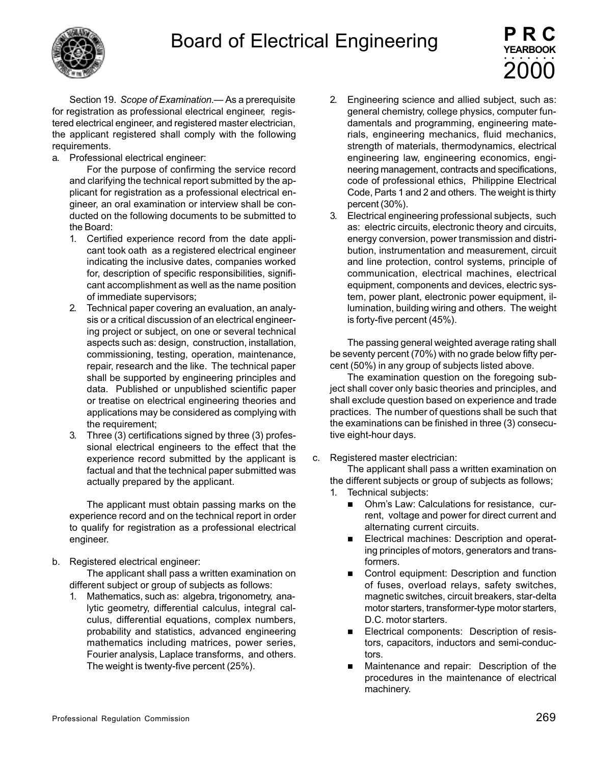

Section 19. *Scope of Examination*.— As a prerequisite for registration as professional electrical engineer, registered electrical engineer, and registered master electrician, the applicant registered shall comply with the following requirements.

a. Professional electrical engineer:

For the purpose of confirming the service record and clarifying the technical report submitted by the applicant for registration as a professional electrical engineer, an oral examination or interview shall be conducted on the following documents to be submitted to the Board:

- 1. Certified experience record from the date applicant took oath as a registered electrical engineer indicating the inclusive dates, companies worked for, description of specific responsibilities, significant accomplishment as well as the name position of immediate supervisors;
- 2. Technical paper covering an evaluation, an analysis or a critical discussion of an electrical engineering project or subject, on one or several technical aspects such as: design, construction, installation, commissioning, testing, operation, maintenance, repair, research and the like. The technical paper shall be supported by engineering principles and data. Published or unpublished scientific paper or treatise on electrical engineering theories and applications may be considered as complying with the requirement;
- 3. Three (3) certifications signed by three (3) professional electrical engineers to the effect that the experience record submitted by the applicant is factual and that the technical paper submitted was actually prepared by the applicant.

The applicant must obtain passing marks on the experience record and on the technical report in order to qualify for registration as a professional electrical engineer.

b. Registered electrical engineer:

The applicant shall pass a written examination on different subject or group of subjects as follows:

1. Mathematics, such as: algebra, trigonometry, analytic geometry, differential calculus, integral calculus, differential equations, complex numbers, probability and statistics, advanced engineering mathematics including matrices, power series, Fourier analysis, Laplace transforms, and others. The weight is twenty-five percent (25%).

2. Engineering science and allied subject, such as: general chemistry, college physics, computer fundamentals and programming, engineering materials, engineering mechanics, fluid mechanics, strength of materials, thermodynamics, electrical engineering law, engineering economics, engineering management, contracts and specifications, code of professional ethics, Philippine Electrical Code, Parts 1 and 2 and others. The weight is thirty percent (30%).

**PRC YEARBOOK**

2000 aaaaaaa

3. Electrical engineering professional subjects, such as: electric circuits, electronic theory and circuits, energy conversion, power transmission and distribution, instrumentation and measurement, circuit and line protection, control systems, principle of communication, electrical machines, electrical equipment, components and devices, electric system, power plant, electronic power equipment, illumination, building wiring and others. The weight is forty-five percent (45%).

The passing general weighted average rating shall be seventy percent (70%) with no grade below fifty percent (50%) in any group of subjects listed above.

The examination question on the foregoing subject shall cover only basic theories and principles, and shall exclude question based on experience and trade practices. The number of questions shall be such that the examinations can be finished in three (3) consecutive eight-hour days.

c. Registered master electrician:

The applicant shall pass a written examination on the different subjects or group of subjects as follows;

- 1. Technical subjects:
	- Ohm's Law: Calculations for resistance, current, voltage and power for direct current and alternating current circuits.
	- Electrical machines: Description and operating principles of motors, generators and transformers.
	- Control equipment: Description and function of fuses, overload relays, safety switches, magnetic switches, circuit breakers, star-delta motor starters, transformer-type motor starters, D.C. motor starters.
	- Electrical components: Description of resistors, capacitors, inductors and semi-conductors.
	- Maintenance and repair: Description of the procedures in the maintenance of electrical machinery.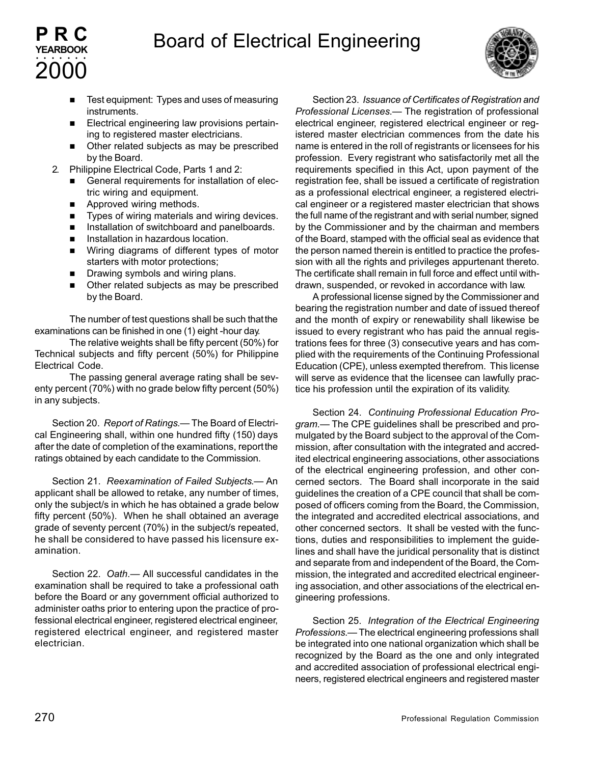

- Test equipment: Types and uses of measuring instruments.
- Electrical engineering law provisions pertaining to registered master electricians.
- Other related subjects as may be prescribed by the Board.
- 2. Philippine Electrical Code, Parts 1 and 2:
	- General requirements for installation of electric wiring and equipment.
	- **n** Approved wiring methods.

**PRC YEARBOOK**

2000 aaaaaaa

- $\blacksquare$  Types of wiring materials and wiring devices.
- **n** Installation of switchboard and panelboards.
- **n** Installation in hazardous location.
- Wiring diagrams of different types of motor starters with motor protections;
- **n** Drawing symbols and wiring plans.
- Other related subjects as may be prescribed by the Board.

The number of test questions shall be such that the examinations can be finished in one (1) eight -hour day.

The relative weights shall be fifty percent (50%) for Technical subjects and fifty percent (50%) for Philippine Electrical Code.

The passing general average rating shall be seventy percent (70%) with no grade below fifty percent (50%) in any subjects.

Section 20. *Report of Ratings*.— The Board of Electrical Engineering shall, within one hundred fifty (150) days after the date of completion of the examinations, report the ratings obtained by each candidate to the Commission.

Section 21. *Reexamination of Failed Subjects*.— An applicant shall be allowed to retake, any number of times, only the subject/s in which he has obtained a grade below fifty percent (50%). When he shall obtained an average grade of seventy percent (70%) in the subject/s repeated, he shall be considered to have passed his licensure examination.

Section 22. *Oath*.— All successful candidates in the examination shall be required to take a professional oath before the Board or any government official authorized to administer oaths prior to entering upon the practice of professional electrical engineer, registered electrical engineer, registered electrical engineer, and registered master electrician.

Section 23. *Issuance of Certificates of Registration and Professional Licenses*.— The registration of professional electrical engineer, registered electrical engineer or registered master electrician commences from the date his name is entered in the roll of registrants or licensees for his profession. Every registrant who satisfactorily met all the requirements specified in this Act, upon payment of the registration fee, shall be issued a certificate of registration as a professional electrical engineer, a registered electrical engineer or a registered master electrician that shows the full name of the registrant and with serial number, signed by the Commissioner and by the chairman and members of the Board, stamped with the official seal as evidence that the person named therein is entitled to practice the profession with all the rights and privileges appurtenant thereto. The certificate shall remain in full force and effect until withdrawn, suspended, or revoked in accordance with law.

A professional license signed by the Commissioner and bearing the registration number and date of issued thereof and the month of expiry or renewability shall likewise be issued to every registrant who has paid the annual registrations fees for three (3) consecutive years and has complied with the requirements of the Continuing Professional Education (CPE), unless exempted therefrom. This license will serve as evidence that the licensee can lawfully practice his profession until the expiration of its validity.

Section 24. *Continuing Professional Education Program*.— The CPE guidelines shall be prescribed and promulgated by the Board subject to the approval of the Commission, after consultation with the integrated and accredited electrical engineering associations, other associations of the electrical engineering profession, and other concerned sectors. The Board shall incorporate in the said guidelines the creation of a CPE council that shall be composed of officers coming from the Board, the Commission, the integrated and accredited electrical associations, and other concerned sectors. It shall be vested with the functions, duties and responsibilities to implement the guidelines and shall have the juridical personality that is distinct and separate from and independent of the Board, the Commission, the integrated and accredited electrical engineering association, and other associations of the electrical engineering professions.

Section 25. *Integration of the Electrical Engineering Professions*.— The electrical engineering professions shall be integrated into one national organization which shall be recognized by the Board as the one and only integrated and accredited association of professional electrical engineers, registered electrical engineers and registered master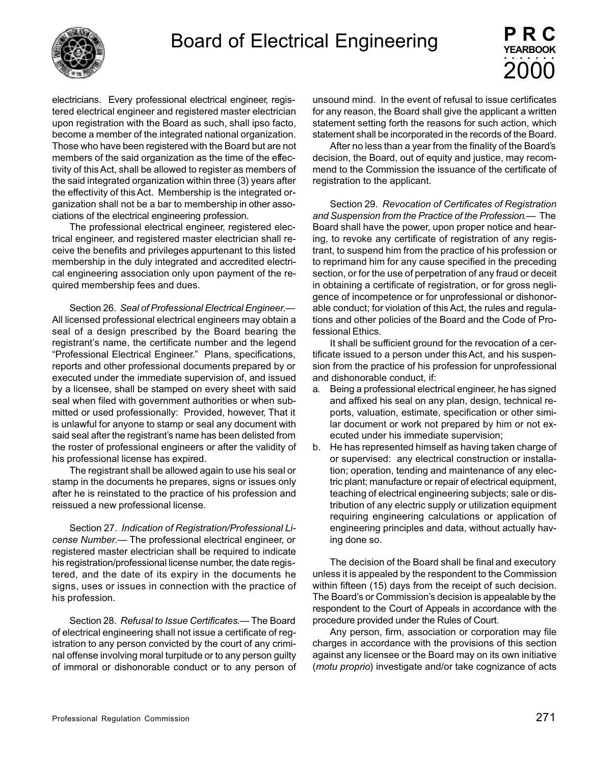

electricians. Every professional electrical engineer, registered electrical engineer and registered master electrician upon registration with the Board as such, shall ipso facto, become a member of the integrated national organization. Those who have been registered with the Board but are not members of the said organization as the time of the effectivity of this Act, shall be allowed to register as members of the said integrated organization within three (3) years after the effectivity of this Act. Membership is the integrated organization shall not be a bar to membership in other associations of the electrical engineering profession.

The professional electrical engineer, registered electrical engineer, and registered master electrician shall receive the benefits and privileges appurtenant to this listed membership in the duly integrated and accredited electrical engineering association only upon payment of the required membership fees and dues.

Section 26. *Seal of Professional Electrical Engineer*.— All licensed professional electrical engineers may obtain a seal of a design prescribed by the Board bearing the registrant's name, the certificate number and the legend "Professional Electrical Engineer." Plans, specifications, reports and other professional documents prepared by or executed under the immediate supervision of, and issued by a licensee, shall be stamped on every sheet with said seal when filed with government authorities or when submitted or used professionally: Provided, however, That it is unlawful for anyone to stamp or seal any document with said seal after the registrant's name has been delisted from the roster of professional engineers or after the validity of his professional license has expired.

The registrant shall be allowed again to use his seal or stamp in the documents he prepares, signs or issues only after he is reinstated to the practice of his profession and reissued a new professional license.

Section 27. *Indication of Registration/Professional License Number*.— The professional electrical engineer, or registered master electrician shall be required to indicate his registration/professional license number, the date registered, and the date of its expiry in the documents he signs, uses or issues in connection with the practice of his profession.

Section 28. *Refusal to Issue Certificates*.— The Board of electrical engineering shall not issue a certificate of registration to any person convicted by the court of any criminal offense involving moral turpitude or to any person guilty of immoral or dishonorable conduct or to any person of unsound mind. In the event of refusal to issue certificates for any reason, the Board shall give the applicant a written statement setting forth the reasons for such action, which statement shall be incorporated in the records of the Board.

After no less than a year from the finality of the Board's decision, the Board, out of equity and justice, may recommend to the Commission the issuance of the certificate of registration to the applicant.

Section 29. *Revocation of Certificates of Registration and Suspension from the Practice of the Profession*.— The Board shall have the power, upon proper notice and hearing, to revoke any certificate of registration of any registrant, to suspend him from the practice of his profession or to reprimand him for any cause specified in the preceding section, or for the use of perpetration of any fraud or deceit in obtaining a certificate of registration, or for gross negligence of incompetence or for unprofessional or dishonorable conduct; for violation of this Act, the rules and regulations and other policies of the Board and the Code of Professional Ethics.

It shall be sufficient ground for the revocation of a certificate issued to a person under this Act, and his suspension from the practice of his profession for unprofessional and dishonorable conduct, if:

- a. Being a professional electrical engineer, he has signed and affixed his seal on any plan, design, technical reports, valuation, estimate, specification or other similar document or work not prepared by him or not executed under his immediate supervision;
- b. He has represented himself as having taken charge of or supervised: any electrical construction or installation; operation, tending and maintenance of any electric plant; manufacture or repair of electrical equipment, teaching of electrical engineering subjects; sale or distribution of any electric supply or utilization equipment requiring engineering calculations or application of engineering principles and data, without actually having done so.

The decision of the Board shall be final and executory unless it is appealed by the respondent to the Commission within fifteen (15) days from the receipt of such decision. The Board's or Commission's decision is appealable by the respondent to the Court of Appeals in accordance with the procedure provided under the Rules of Court.

Any person, firm, association or corporation may file charges in accordance with the provisions of this section against any licensee or the Board may on its own initiative (*motu proprio*) investigate and/or take cognizance of acts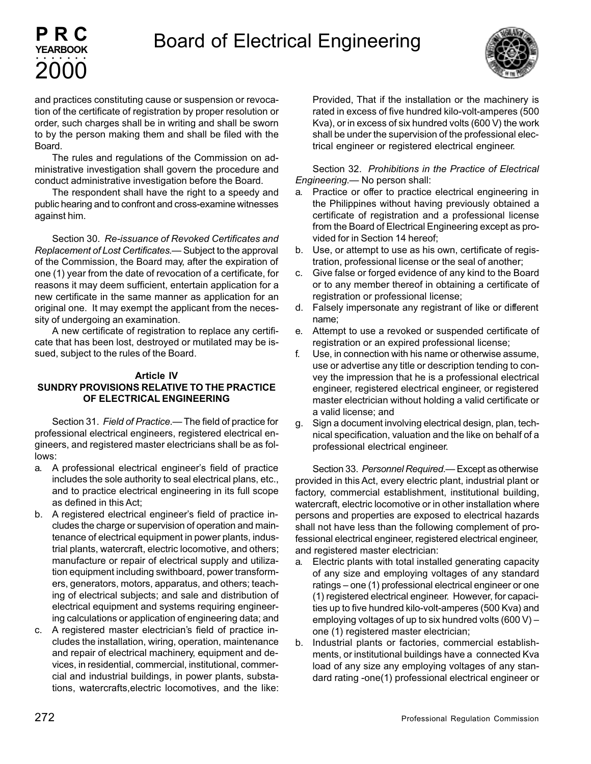



and practices constituting cause or suspension or revocation of the certificate of registration by proper resolution or order, such charges shall be in writing and shall be sworn to by the person making them and shall be filed with the Board.

The rules and regulations of the Commission on administrative investigation shall govern the procedure and conduct administrative investigation before the Board.

The respondent shall have the right to a speedy and public hearing and to confront and cross-examine witnesses against him.

Section 30. *Re-issuance of Revoked Certificates and Replacement of Lost Certificates*.— Subject to the approval of the Commission, the Board may, after the expiration of one (1) year from the date of revocation of a certificate, for reasons it may deem sufficient, entertain application for a new certificate in the same manner as application for an original one. It may exempt the applicant from the necessity of undergoing an examination.

A new certificate of registration to replace any certificate that has been lost, destroyed or mutilated may be issued, subject to the rules of the Board.

### **Article IV SUNDRY PROVISIONS RELATIVE TO THE PRACTICE OF ELECTRICAL ENGINEERING**

Section 31. *Field of Practice*.— The field of practice for professional electrical engineers, registered electrical engineers, and registered master electricians shall be as follows:

- a. A professional electrical engineer's field of practice includes the sole authority to seal electrical plans, etc., and to practice electrical engineering in its full scope as defined in this Act;
- b. A registered electrical engineer's field of practice includes the charge or supervision of operation and maintenance of electrical equipment in power plants, industrial plants, watercraft, electric locomotive, and others; manufacture or repair of electrical supply and utilization equipment including swithboard, power transformers, generators, motors, apparatus, and others; teaching of electrical subjects; and sale and distribution of electrical equipment and systems requiring engineering calculations or application of engineering data; and
- c. A registered master electrician's field of practice includes the installation, wiring, operation, maintenance and repair of electrical machinery, equipment and devices, in residential, commercial, institutional, commercial and industrial buildings, in power plants, substations, watercrafts,electric locomotives, and the like:

Provided, That if the installation or the machinery is rated in excess of five hundred kilo-volt-amperes (500 Kva), or in excess of six hundred volts (600 V) the work shall be under the supervision of the professional electrical engineer or registered electrical engineer.

Section 32. *Prohibitions in the Practice of Electrical Engineering*.— No person shall:

- a. Practice or offer to practice electrical engineering in the Philippines without having previously obtained a certificate of registration and a professional license from the Board of Electrical Engineering except as provided for in Section 14 hereof;
- b. Use, or attempt to use as his own, certificate of registration, professional license or the seal of another;
- c. Give false or forged evidence of any kind to the Board or to any member thereof in obtaining a certificate of registration or professional license;
- d. Falsely impersonate any registrant of like or different name;
- e. Attempt to use a revoked or suspended certificate of registration or an expired professional license;
- f. Use, in connection with his name or otherwise assume, use or advertise any title or description tending to convey the impression that he is a professional electrical engineer, registered electrical engineer, or registered master electrician without holding a valid certificate or a valid license; and
- g. Sign a document involving electrical design, plan, technical specification, valuation and the like on behalf of a professional electrical engineer.

Section 33. *Personnel Required*.— Except as otherwise provided in this Act, every electric plant, industrial plant or factory, commercial establishment, institutional building, watercraft, electric locomotive or in other installation where persons and properties are exposed to electrical hazards shall not have less than the following complement of professional electrical engineer, registered electrical engineer, and registered master electrician:

- a. Electric plants with total installed generating capacity of any size and employing voltages of any standard ratings – one (1) professional electrical engineer or one (1) registered electrical engineer. However, for capacities up to five hundred kilo-volt-amperes (500 Kva) and employing voltages of up to six hundred volts (600 V) – one (1) registered master electrician;
- b. Industrial plants or factories, commercial establishments, or institutional buildings have a connected Kva load of any size any employing voltages of any standard rating -one(1) professional electrical engineer or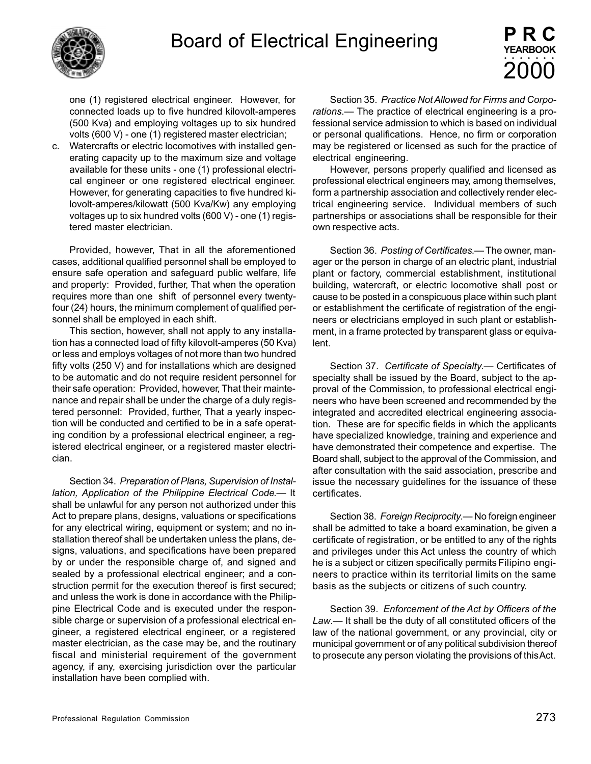

one (1) registered electrical engineer. However, for connected loads up to five hundred kilovolt-amperes (500 Kva) and employing voltages up to six hundred volts (600 V) - one (1) registered master electrician;

c. Watercrafts or electric locomotives with installed generating capacity up to the maximum size and voltage available for these units - one (1) professional electrical engineer or one registered electrical engineer. However, for generating capacities to five hundred kilovolt-amperes/kilowatt (500 Kva/Kw) any employing voltages up to six hundred volts (600 V) - one (1) registered master electrician.

Provided, however, That in all the aforementioned cases, additional qualified personnel shall be employed to ensure safe operation and safeguard public welfare, life and property: Provided, further, That when the operation requires more than one shift of personnel every twentyfour (24) hours, the minimum complement of qualified personnel shall be employed in each shift.

This section, however, shall not apply to any installation has a connected load of fifty kilovolt-amperes (50 Kva) or less and employs voltages of not more than two hundred fifty volts (250 V) and for installations which are designed to be automatic and do not require resident personnel for their safe operation: Provided, however, That their maintenance and repair shall be under the charge of a duly registered personnel: Provided, further, That a yearly inspection will be conducted and certified to be in a safe operating condition by a professional electrical engineer, a registered electrical engineer, or a registered master electrician.

Section 34. *Preparation of Plans, Supervision of Installation, Application of the Philippine Electrical Code*.— It shall be unlawful for any person not authorized under this Act to prepare plans, designs, valuations or specifications for any electrical wiring, equipment or system; and no installation thereof shall be undertaken unless the plans, designs, valuations, and specifications have been prepared by or under the responsible charge of, and signed and sealed by a professional electrical engineer; and a construction permit for the execution thereof is first secured; and unless the work is done in accordance with the Philippine Electrical Code and is executed under the responsible charge or supervision of a professional electrical engineer, a registered electrical engineer, or a registered master electrician, as the case may be, and the routinary fiscal and ministerial requirement of the government agency, if any, exercising jurisdiction over the particular installation have been complied with.

Section 35. *Practice Not Allowed for Firms and Corporations*.— The practice of electrical engineering is a professional service admission to which is based on individual or personal qualifications. Hence, no firm or corporation may be registered or licensed as such for the practice of electrical engineering.

However, persons properly qualified and licensed as professional electrical engineers may, among themselves, form a partnership association and collectively render electrical engineering service. Individual members of such partnerships or associations shall be responsible for their own respective acts.

Section 36. *Posting of Certificates*.— The owner, manager or the person in charge of an electric plant, industrial plant or factory, commercial establishment, institutional building, watercraft, or electric locomotive shall post or cause to be posted in a conspicuous place within such plant or establishment the certificate of registration of the engineers or electricians employed in such plant or establishment, in a frame protected by transparent glass or equivalent.

Section 37. *Certificate of Specialty*.— Certificates of specialty shall be issued by the Board, subject to the approval of the Commission, to professional electrical engineers who have been screened and recommended by the integrated and accredited electrical engineering association. These are for specific fields in which the applicants have specialized knowledge, training and experience and have demonstrated their competence and expertise. The Board shall, subject to the approval of the Commission, and after consultation with the said association, prescribe and issue the necessary guidelines for the issuance of these certificates.

Section 38. *Foreign Reciprocity*.— No foreign engineer shall be admitted to take a board examination, be given a certificate of registration, or be entitled to any of the rights and privileges under this Act unless the country of which he is a subject or citizen specifically permits Filipino engineers to practice within its territorial limits on the same basis as the subjects or citizens of such country.

Section 39. *Enforcement of the Act by Officers of the Law*.— It shall be the duty of all constituted officers of the law of the national government, or any provincial, city or municipal government or of any political subdivision thereof to prosecute any person violating the provisions of this Act.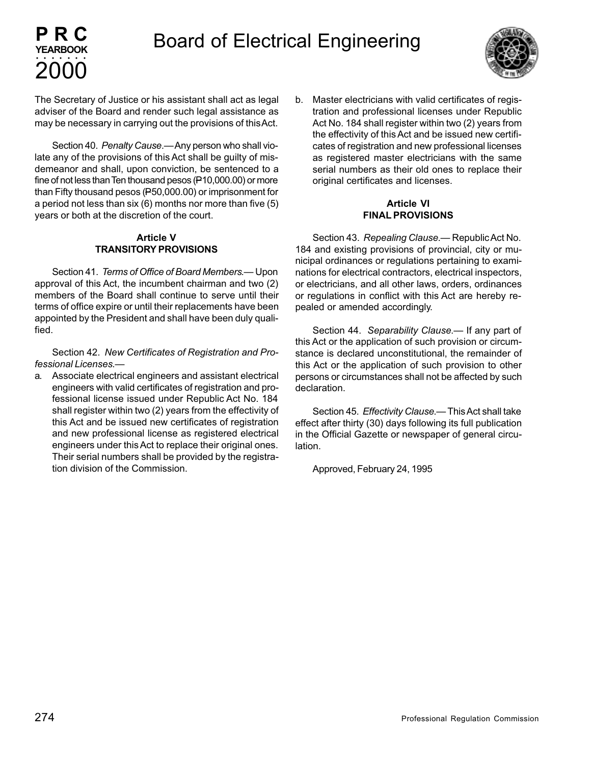

The Secretary of Justice or his assistant shall act as legal adviser of the Board and render such legal assistance as may be necessary in carrying out the provisions of this Act.

Section 40. *Penalty Cause*.— Any person who shall violate any of the provisions of this Act shall be guilty of misdemeanor and shall, upon conviction, be sentenced to a fine of not less than Ten thousand pesos (P10,000.00) or more than Fifty thousand pesos (P50,000.00) or imprisonment for a period not less than six (6) months nor more than five (5) years or both at the discretion of the court.

### **Article V TRANSITORY PROVISIONS**

Section 41. *Terms of Office of Board Members*.— Upon approval of this Act, the incumbent chairman and two (2) members of the Board shall continue to serve until their terms of office expire or until their replacements have been appointed by the President and shall have been duly qualified.

Section 42. *New Certificates of Registration and Professional Licenses*.—

a. Associate electrical engineers and assistant electrical engineers with valid certificates of registration and professional license issued under Republic Act No. 184 shall register within two (2) years from the effectivity of this Act and be issued new certificates of registration and new professional license as registered electrical engineers under this Act to replace their original ones. Their serial numbers shall be provided by the registration division of the Commission.

b. Master electricians with valid certificates of registration and professional licenses under Republic Act No. 184 shall register within two (2) years from the effectivity of this Act and be issued new certificates of registration and new professional licenses as registered master electricians with the same serial numbers as their old ones to replace their original certificates and licenses.

### **Article VI FINAL PROVISIONS**

Section 43. *Repealing Clause*.— Republic Act No. 184 and existing provisions of provincial, city or municipal ordinances or regulations pertaining to examinations for electrical contractors, electrical inspectors, or electricians, and all other laws, orders, ordinances or regulations in conflict with this Act are hereby repealed or amended accordingly.

Section 44. *Separability Clause*.— If any part of this Act or the application of such provision or circumstance is declared unconstitutional, the remainder of this Act or the application of such provision to other persons or circumstances shall not be affected by such declaration.

Section 45. *Effectivity Clause*.— This Act shall take effect after thirty (30) days following its full publication in the Official Gazette or newspaper of general circulation.

Approved, February 24, 1995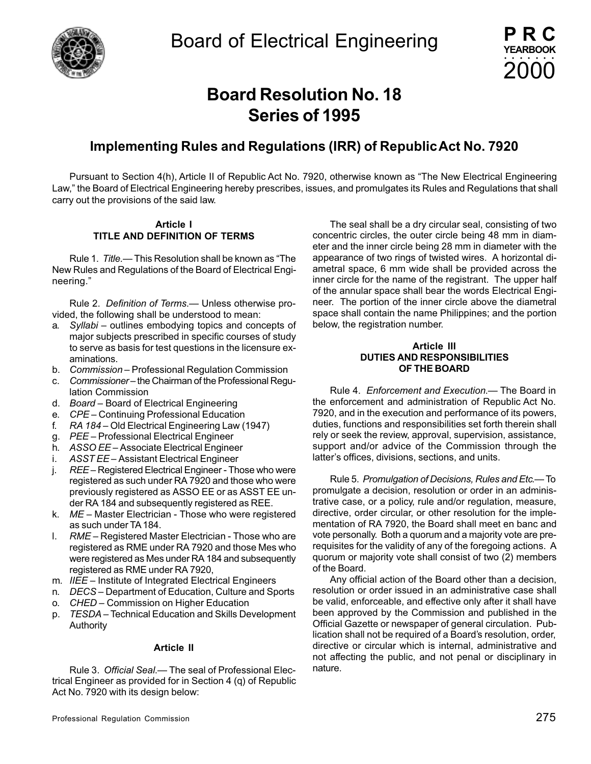

# **Board Resolution No. 18 Series of 1995**

### **Implementing Rules and Regulations (IRR) of Republic Act No. 7920**

Pursuant to Section 4(h), Article II of Republic Act No. 7920, otherwise known as "The New Electrical Engineering Law," the Board of Electrical Engineering hereby prescribes, issues, and promulgates its Rules and Regulations that shall carry out the provisions of the said law.

#### **Article I TITLE AND DEFINITION OF TERMS**

Rule 1. *Title.*— This Resolution shall be known as "The New Rules and Regulations of the Board of Electrical Engineering."

Rule 2. *Definition of Terms*.— Unless otherwise provided, the following shall be understood to mean:

- a. *Syllabi* outlines embodying topics and concepts of major subjects prescribed in specific courses of study to serve as basis for test questions in the licensure examinations.
- b. *Commission* Professional Regulation Commission
- c. *Commissioner* the Chairman of the Professional Regulation Commission
- d. *Board* Board of Electrical Engineering
- e. *CPE* Continuing Professional Education
- f. *RA 184* Old Electrical Engineering Law (1947)
- g. *PEE* Professional Electrical Engineer
- h. *ASSO EE* Associate Electrical Engineer
- i. *ASST EE* Assistant Electrical Engineer
- j. *REE* Registered Electrical Engineer Those who were registered as such under RA 7920 and those who were previously registered as ASSO EE or as ASST EE under RA 184 and subsequently registered as REE.
- k. *ME* Master Electrician Those who were registered as such under TA 184.
- l. *RME* Registered Master Electrician Those who are registered as RME under RA 7920 and those Mes who were registered as Mes under RA 184 and subsequently registered as RME under RA 7920,
- m. *IIEE* Institute of Integrated Electrical Engineers
- n. *DECS* Department of Education, Culture and Sports
- o. *CHED* Commission on Higher Education
- p. *TESDA* Technical Education and Skills Development Authority

#### **Article II**

Rule 3. *Official Seal*.— The seal of Professional Electrical Engineer as provided for in Section 4 (q) of Republic Act No. 7920 with its design below:

The seal shall be a dry circular seal, consisting of two concentric circles, the outer circle being 48 mm in diameter and the inner circle being 28 mm in diameter with the appearance of two rings of twisted wires. A horizontal diametral space, 6 mm wide shall be provided across the inner circle for the name of the registrant. The upper half of the annular space shall bear the words Electrical Engineer. The portion of the inner circle above the diametral space shall contain the name Philippines; and the portion below, the registration number.

#### **Article III DUTIES AND RESPONSIBILITIES OF THE BOARD**

Rule 4. *Enforcement and Execution*.— The Board in the enforcement and administration of Republic Act No. 7920, and in the execution and performance of its powers, duties, functions and responsibilities set forth therein shall rely or seek the review, approval, supervision, assistance, support and/or advice of the Commission through the latter's offices, divisions, sections, and units.

Rule 5. *Promulgation of Decisions, Rules and Etc*.— To promulgate a decision, resolution or order in an administrative case, or a policy, rule and/or regulation, measure, directive, order circular, or other resolution for the implementation of RA 7920, the Board shall meet en banc and vote personally. Both a quorum and a majority vote are prerequisites for the validity of any of the foregoing actions. A quorum or majority vote shall consist of two (2) members of the Board.

Any official action of the Board other than a decision, resolution or order issued in an administrative case shall be valid, enforceable, and effective only after it shall have been approved by the Commission and published in the Official Gazette or newspaper of general circulation. Publication shall not be required of a Board's resolution, order, directive or circular which is internal, administrative and not affecting the public, and not penal or disciplinary in nature.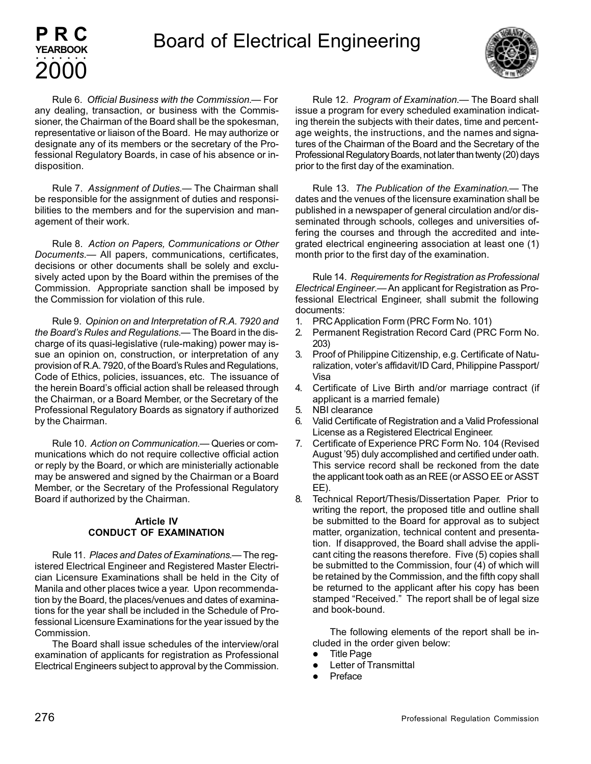

Rule 6. *Official Business with the Commission.*— For any dealing, transaction, or business with the Commissioner, the Chairman of the Board shall be the spokesman, representative or liaison of the Board. He may authorize or designate any of its members or the secretary of the Professional Regulatory Boards, in case of his absence or indisposition.

**PRC YEARBOOK**

2000 aaaaaaa

Rule 7. *Assignment of Duties*.— The Chairman shall be responsible for the assignment of duties and responsibilities to the members and for the supervision and management of their work.

Rule 8. *Action on Papers, Communications or Other Documents*.— All papers, communications, certificates, decisions or other documents shall be solely and exclusively acted upon by the Board within the premises of the Commission. Appropriate sanction shall be imposed by the Commission for violation of this rule.

Rule 9. *Opinion on and Interpretation of R.A. 7920 and the Board's Rules and Regulations*.— The Board in the discharge of its quasi-legislative (rule-making) power may issue an opinion on, construction, or interpretation of any provision of R.A. 7920, of the Board's Rules and Regulations, Code of Ethics, policies, issuances, etc. The issuance of the herein Board's official action shall be released through the Chairman, or a Board Member, or the Secretary of the Professional Regulatory Boards as signatory if authorized by the Chairman.

Rule 10. *Action on Communication*.— Queries or communications which do not require collective official action or reply by the Board, or which are ministerially actionable may be answered and signed by the Chairman or a Board Member, or the Secretary of the Professional Regulatory Board if authorized by the Chairman.

### **Article IV CONDUCT OF EXAMINATION**

Rule 11. *Places and Dates of Examinations*.— The registered Electrical Engineer and Registered Master Electrician Licensure Examinations shall be held in the City of Manila and other places twice a year. Upon recommendation by the Board, the places/venues and dates of examinations for the year shall be included in the Schedule of Professional Licensure Examinations for the year issued by the Commission.

The Board shall issue schedules of the interview/oral examination of applicants for registration as Professional Electrical Engineers subject to approval by the Commission.

Rule 12. *Program of Examination*.— The Board shall issue a program for every scheduled examination indicating therein the subjects with their dates, time and percentage weights, the instructions, and the names and signatures of the Chairman of the Board and the Secretary of the Professional Regulatory Boards, not later than twenty (20) days prior to the first day of the examination.

Rule 13. *The Publication of the Examination*.— The dates and the venues of the licensure examination shall be published in a newspaper of general circulation and/or disseminated through schools, colleges and universities offering the courses and through the accredited and integrated electrical engineering association at least one (1) month prior to the first day of the examination.

Rule 14. *Requirements for Registration as Professional Electrical Engineer*.— An applicant for Registration as Professional Electrical Engineer, shall submit the following documents:

- 1. PRC Application Form (PRC Form No. 101)
- 2. Permanent Registration Record Card (PRC Form No. 203)
- 3. Proof of Philippine Citizenship, e.g. Certificate of Naturalization, voter's affidavit/ID Card, Philippine Passport/ Visa
- 4. Certificate of Live Birth and/or marriage contract (if applicant is a married female)
- 5. NBI clearance
- 6. Valid Certificate of Registration and a Valid Professional License as a Registered Electrical Engineer.
- 7. Certificate of Experience PRC Form No. 104 (Revised August '95) duly accomplished and certified under oath. This service record shall be reckoned from the date the applicant took oath as an REE (or ASSO EE or ASST EE).
- 8. Technical Report/Thesis/Dissertation Paper. Prior to writing the report, the proposed title and outline shall be submitted to the Board for approval as to subject matter, organization, technical content and presentation. If disapproved, the Board shall advise the applicant citing the reasons therefore. Five (5) copies shall be submitted to the Commission, four (4) of which will be retained by the Commission, and the fifth copy shall be returned to the applicant after his copy has been stamped "Received." The report shall be of legal size and book-bound.

The following elements of the report shall be included in the order given below:

- **Title Page**
- Letter of Transmittal
- **Preface**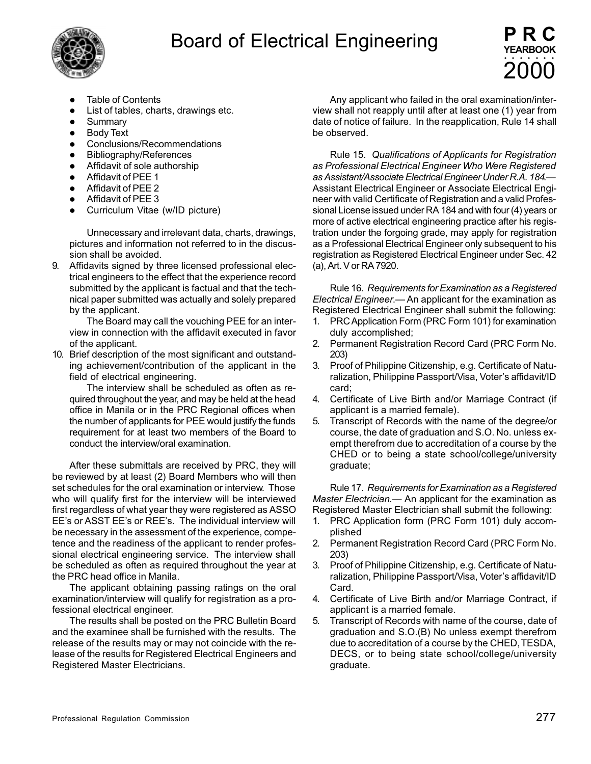



- **Table of Contents**
- List of tables, charts, drawings etc.
- **Summary**
- Body Text
- Conclusions/Recommendations
- Bibliography/References
- **•** Affidavit of sole authorship
- Affidavit of PEE 1
- $\bullet$  Affidavit of PEE 2
- $\bullet$  Affidavit of PEE 3
- Curriculum Vitae (w/ID picture)

Unnecessary and irrelevant data, charts, drawings, pictures and information not referred to in the discussion shall be avoided.

9. Affidavits signed by three licensed professional electrical engineers to the effect that the experience record submitted by the applicant is factual and that the technical paper submitted was actually and solely prepared by the applicant.

The Board may call the vouching PEE for an interview in connection with the affidavit executed in favor of the applicant.

10. Brief description of the most significant and outstanding achievement/contribution of the applicant in the field of electrical engineering.

The interview shall be scheduled as often as required throughout the year, and may be held at the head office in Manila or in the PRC Regional offices when the number of applicants for PEE would justify the funds requirement for at least two members of the Board to conduct the interview/oral examination.

After these submittals are received by PRC, they will be reviewed by at least (2) Board Members who will then set schedules for the oral examination or interview. Those who will qualify first for the interview will be interviewed first regardless of what year they were registered as ASSO EE's or ASST EE's or REE's. The individual interview will be necessary in the assessment of the experience, competence and the readiness of the applicant to render professional electrical engineering service. The interview shall be scheduled as often as required throughout the year at the PRC head office in Manila.

The applicant obtaining passing ratings on the oral examination/interview will qualify for registration as a professional electrical engineer.

The results shall be posted on the PRC Bulletin Board and the examinee shall be furnished with the results. The release of the results may or may not coincide with the release of the results for Registered Electrical Engineers and Registered Master Electricians.

Any applicant who failed in the oral examination/interview shall not reapply until after at least one (1) year from date of notice of failure. In the reapplication, Rule 14 shall be observed.

Rule 15. *Qualifications of Applicants for Registration as Professional Electrical Engineer Who Were Registered as Assistant/Associate Electrical Engineer Under R.A. 184*.— Assistant Electrical Engineer or Associate Electrical Engineer with valid Certificate of Registration and a valid Professional License issued under RA 184 and with four (4) years or more of active electrical engineering practice after his registration under the forgoing grade, may apply for registration as a Professional Electrical Engineer only subsequent to his registration as Registered Electrical Engineer under Sec. 42 (a), Art. V or RA 7920.

Rule 16. *Requirements for Examination as a Registered Electrical Engineer*.— An applicant for the examination as Registered Electrical Engineer shall submit the following:

- 1. PRC Application Form (PRC Form 101) for examination duly accomplished;
- 2. Permanent Registration Record Card (PRC Form No. 203)
- 3. Proof of Philippine Citizenship, e.g. Certificate of Naturalization, Philippine Passport/Visa, Voter's affidavit/ID card;
- 4. Certificate of Live Birth and/or Marriage Contract (if applicant is a married female).
- 5. Transcript of Records with the name of the degree/or course, the date of graduation and S.O. No. unless exempt therefrom due to accreditation of a course by the CHED or to being a state school/college/university graduate;

Rule 17. *Requirements for Examination as a Registered Master Electrician*.— An applicant for the examination as Registered Master Electrician shall submit the following:

- 1. PRC Application form (PRC Form 101) duly accomplished
- 2. Permanent Registration Record Card (PRC Form No. 203)
- 3. Proof of Philippine Citizenship, e.g. Certificate of Naturalization, Philippine Passport/Visa, Voter's affidavit/ID Card.
- 4. Certificate of Live Birth and/or Marriage Contract, if applicant is a married female.
- 5. Transcript of Records with name of the course, date of graduation and S.O.(B) No unless exempt therefrom due to accreditation of a course by the CHED, TESDA, DECS, or to being state school/college/university graduate.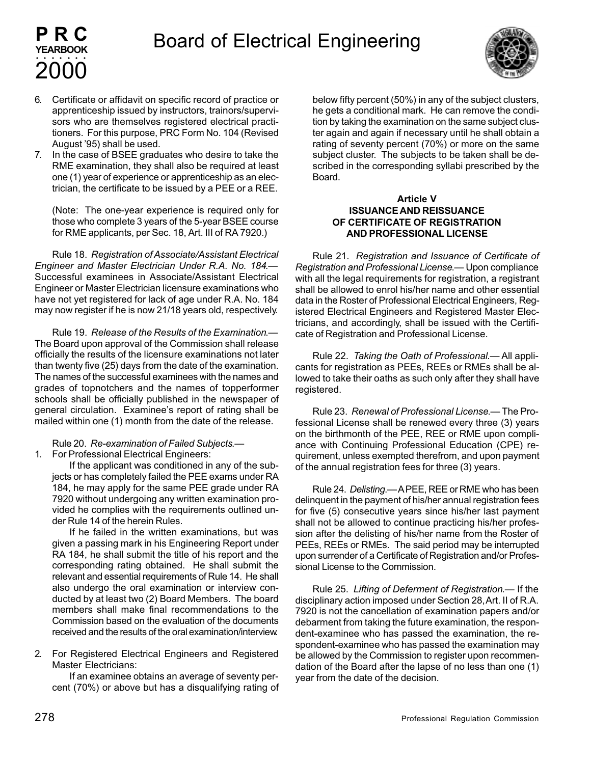

6. Certificate or affidavit on specific record of practice or apprenticeship issued by instructors, trainors/supervisors who are themselves registered electrical practitioners. For this purpose, PRC Form No. 104 (Revised August '95) shall be used.

**PRC YEARBOOK**

2000 aaaaaaa

7. In the case of BSEE graduates who desire to take the RME examination, they shall also be required at least one (1) year of experience or apprenticeship as an electrician, the certificate to be issued by a PEE or a REE.

(Note: The one-year experience is required only for those who complete 3 years of the 5-year BSEE course for RME applicants, per Sec. 18, Art. III of RA 7920.)

Rule 18. *Registration of Associate/Assistant Electrical Engineer and Master Electrician Under R.A. No. 184*.— Successful examinees in Associate/Assistant Electrical Engineer or Master Electrician licensure examinations who have not yet registered for lack of age under R.A. No. 184 may now register if he is now 21/18 years old, respectively.

Rule 19. *Release of the Results of the Examination*.— The Board upon approval of the Commission shall release officially the results of the licensure examinations not later than twenty five (25) days from the date of the examination. The names of the successful examinees with the names and grades of topnotchers and the names of topperformer schools shall be officially published in the newspaper of general circulation. Examinee's report of rating shall be mailed within one (1) month from the date of the release.

Rule 20. *Re-examination of Failed Subjects*.—

1. For Professional Electrical Engineers:

If the applicant was conditioned in any of the subjects or has completely failed the PEE exams under RA 184, he may apply for the same PEE grade under RA 7920 without undergoing any written examination provided he complies with the requirements outlined under Rule 14 of the herein Rules.

If he failed in the written examinations, but was given a passing mark in his Engineering Report under RA 184, he shall submit the title of his report and the corresponding rating obtained. He shall submit the relevant and essential requirements of Rule 14. He shall also undergo the oral examination or interview conducted by at least two (2) Board Members. The board members shall make final recommendations to the Commission based on the evaluation of the documents received and the results of the oral examination/interview.

2. For Registered Electrical Engineers and Registered Master Electricians:

If an examinee obtains an average of seventy percent (70%) or above but has a disqualifying rating of below fifty percent (50%) in any of the subject clusters, he gets a conditional mark. He can remove the condition by taking the examination on the same subject cluster again and again if necessary until he shall obtain a rating of seventy percent (70%) or more on the same subject cluster. The subjects to be taken shall be described in the corresponding syllabi prescribed by the Board.

#### **Article V ISSUANCE AND REISSUANCE OF CERTIFICATE OF REGISTRATION AND PROFESSIONAL LICENSE**

Rule 21. *Registration and Issuance of Certificate of Registration and Professional License*.— Upon compliance with all the legal requirements for registration, a registrant shall be allowed to enrol his/her name and other essential data in the Roster of Professional Electrical Engineers, Registered Electrical Engineers and Registered Master Electricians, and accordingly, shall be issued with the Certificate of Registration and Professional License.

Rule 22. *Taking the Oath of Professional*.— All applicants for registration as PEEs, REEs or RMEs shall be allowed to take their oaths as such only after they shall have registered.

Rule 23. *Renewal of Professional License*.— The Professional License shall be renewed every three (3) years on the birthmonth of the PEE, REE or RME upon compliance with Continuing Professional Education (CPE) requirement, unless exempted therefrom, and upon payment of the annual registration fees for three (3) years.

Rule 24. *Delisting*.— A PEE, REE or RME who has been delinquent in the payment of his/her annual registration fees for five (5) consecutive years since his/her last payment shall not be allowed to continue practicing his/her profession after the delisting of his/her name from the Roster of PEEs, REEs or RMEs. The said period may be interrupted upon surrender of a Certificate of Registration and/or Professional License to the Commission.

Rule 25. *Lifting of Deferment of Registration*.— If the disciplinary action imposed under Section 28, Art. II of R.A. 7920 is not the cancellation of examination papers and/or debarment from taking the future examination, the respondent-examinee who has passed the examination, the respondent-examinee who has passed the examination may be allowed by the Commission to register upon recommendation of the Board after the lapse of no less than one (1) year from the date of the decision.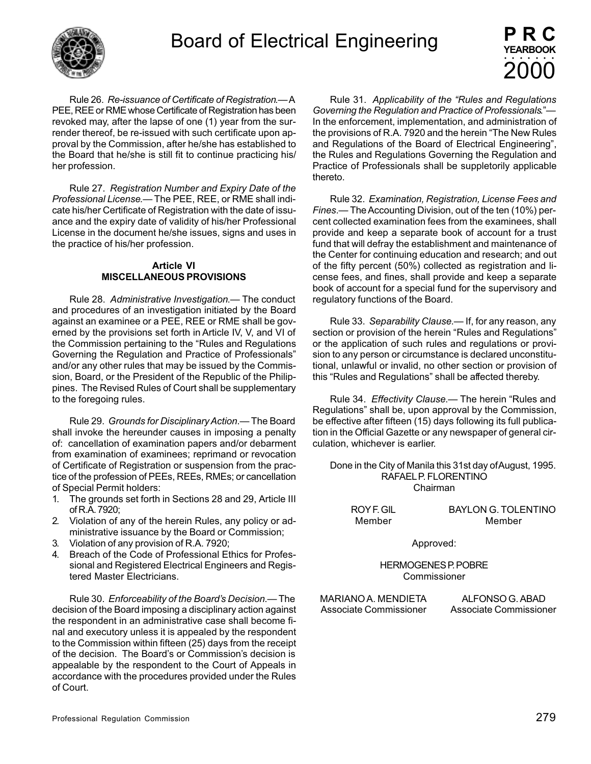

Rule 26. *Re-issuance of Certificate of Registration*.— A PEE, REE or RME whose Certificate of Registration has been revoked may, after the lapse of one (1) year from the surrender thereof, be re-issued with such certificate upon approval by the Commission, after he/she has established to the Board that he/she is still fit to continue practicing his/ her profession.

Rule 27. *Registration Number and Expiry Date of the Professional License*.— The PEE, REE, or RME shall indicate his/her Certificate of Registration with the date of issuance and the expiry date of validity of his/her Professional License in the document he/she issues, signs and uses in the practice of his/her profession.

#### **Article VI MISCELLANEOUS PROVISIONS**

Rule 28. *Administrative Investigation*.— The conduct and procedures of an investigation initiated by the Board against an examinee or a PEE, REE or RME shall be governed by the provisions set forth in Article IV, V, and VI of the Commission pertaining to the "Rules and Regulations Governing the Regulation and Practice of Professionals" and/or any other rules that may be issued by the Commission, Board, or the President of the Republic of the Philippines. The Revised Rules of Court shall be supplementary to the foregoing rules.

Rule 29. *Grounds for Disciplinary Action*.— The Board shall invoke the hereunder causes in imposing a penalty of: cancellation of examination papers and/or debarment from examination of examinees; reprimand or revocation of Certificate of Registration or suspension from the practice of the profession of PEEs, REEs, RMEs; or cancellation of Special Permit holders:

- 1. The grounds set forth in Sections 28 and 29, Article III of R.A. 7920;
- 2. Violation of any of the herein Rules, any policy or administrative issuance by the Board or Commission;
- 3. Violation of any provision of R.A. 7920;
- 4. Breach of the Code of Professional Ethics for Professional and Registered Electrical Engineers and Registered Master Electricians.

Rule 30. *Enforceability of the Board's Decision*.— The decision of the Board imposing a disciplinary action against the respondent in an administrative case shall become final and executory unless it is appealed by the respondent to the Commission within fifteen (25) days from the receipt of the decision. The Board's or Commission's decision is appealable by the respondent to the Court of Appeals in accordance with the procedures provided under the Rules of Court.

Rule 31. *Applicability of the "Rules and Regulations Governing the Regulation and Practice of Professionals*."— In the enforcement, implementation, and administration of the provisions of R.A. 7920 and the herein "The New Rules and Regulations of the Board of Electrical Engineering", the Rules and Regulations Governing the Regulation and Practice of Professionals shall be suppletorily applicable thereto.

Rule 32. *Examination, Registration, License Fees and Fines*.— The Accounting Division, out of the ten (10%) percent collected examination fees from the examinees, shall provide and keep a separate book of account for a trust fund that will defray the establishment and maintenance of the Center for continuing education and research; and out of the fifty percent (50%) collected as registration and license fees, and fines, shall provide and keep a separate book of account for a special fund for the supervisory and regulatory functions of the Board.

Rule 33. *Separability Clause*.— If, for any reason, any section or provision of the herein "Rules and Regulations" or the application of such rules and regulations or provision to any person or circumstance is declared unconstitutional, unlawful or invalid, no other section or provision of this "Rules and Regulations" shall be affected thereby.

Rule 34. *Effectivity Clause*.— The herein "Rules and Regulations" shall be, upon approval by the Commission, be effective after fifteen (15) days following its full publication in the Official Gazette or any newspaper of general circulation, whichever is earlier.

Done in the City of Manila this 31st day of August, 1995. RAFAEL P. FLORENTINO Chairman

| ROY F. GIL | <b>BAYLON G. TOLENTINO</b> |
|------------|----------------------------|
| Member     | Member                     |

Approved:

HERMOGENES P. POBRE Commissioner

MARIANO A. MENDIETA ALFONSO G. ABAD Associate Commissioner Associate Commissioner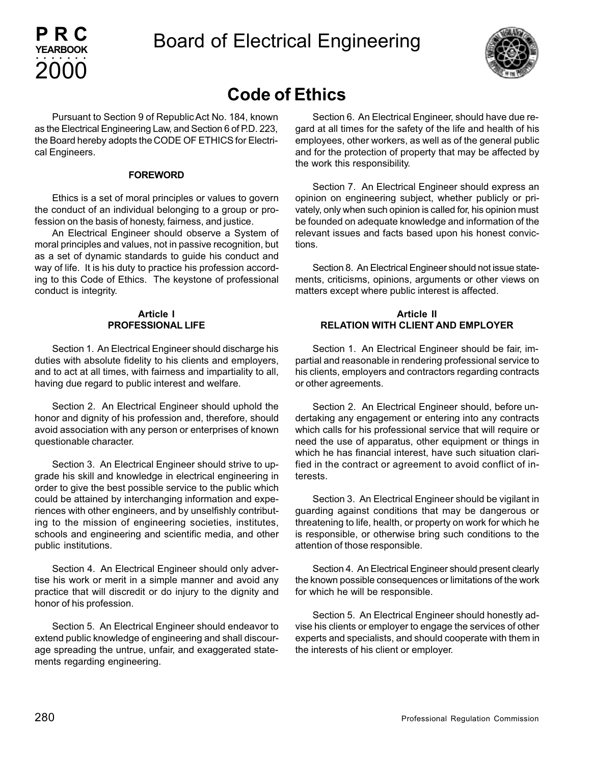

## **Code of Ethics**

Pursuant to Section 9 of Republic Act No. 184, known as the Electrical Engineering Law, and Section 6 of P.D. 223, the Board hereby adopts the CODE OF ETHICS for Electrical Engineers.

**PRC YEARBOOK**

2000 aaaaaaa

#### **FOREWORD**

Ethics is a set of moral principles or values to govern the conduct of an individual belonging to a group or profession on the basis of honesty, fairness, and justice.

An Electrical Engineer should observe a System of moral principles and values, not in passive recognition, but as a set of dynamic standards to guide his conduct and way of life. It is his duty to practice his profession according to this Code of Ethics. The keystone of professional conduct is integrity.

#### **Article I PROFESSIONAL LIFE**

Section 1. An Electrical Engineer should discharge his duties with absolute fidelity to his clients and employers, and to act at all times, with fairness and impartiality to all, having due regard to public interest and welfare.

Section 2. An Electrical Engineer should uphold the honor and dignity of his profession and, therefore, should avoid association with any person or enterprises of known questionable character.

Section 3. An Electrical Engineer should strive to upgrade his skill and knowledge in electrical engineering in order to give the best possible service to the public which could be attained by interchanging information and experiences with other engineers, and by unselfishly contributing to the mission of engineering societies, institutes, schools and engineering and scientific media, and other public institutions.

Section 4. An Electrical Engineer should only advertise his work or merit in a simple manner and avoid any practice that will discredit or do injury to the dignity and honor of his profession.

Section 5. An Electrical Engineer should endeavor to extend public knowledge of engineering and shall discourage spreading the untrue, unfair, and exaggerated statements regarding engineering.

Section 6. An Electrical Engineer, should have due regard at all times for the safety of the life and health of his employees, other workers, as well as of the general public and for the protection of property that may be affected by the work this responsibility.

Section 7. An Electrical Engineer should express an opinion on engineering subject, whether publicly or privately, only when such opinion is called for, his opinion must be founded on adequate knowledge and information of the relevant issues and facts based upon his honest convictions.

Section 8. An Electrical Engineer should not issue statements, criticisms, opinions, arguments or other views on matters except where public interest is affected.

#### **Article II RELATION WITH CLIENT AND EMPLOYER**

Section 1. An Electrical Engineer should be fair, impartial and reasonable in rendering professional service to his clients, employers and contractors regarding contracts or other agreements.

Section 2. An Electrical Engineer should, before undertaking any engagement or entering into any contracts which calls for his professional service that will require or need the use of apparatus, other equipment or things in which he has financial interest, have such situation clarified in the contract or agreement to avoid conflict of interests.

Section 3. An Electrical Engineer should be vigilant in guarding against conditions that may be dangerous or threatening to life, health, or property on work for which he is responsible, or otherwise bring such conditions to the attention of those responsible.

Section 4. An Electrical Engineer should present clearly the known possible consequences or limitations of the work for which he will be responsible.

Section 5. An Electrical Engineer should honestly advise his clients or employer to engage the services of other experts and specialists, and should cooperate with them in the interests of his client or employer.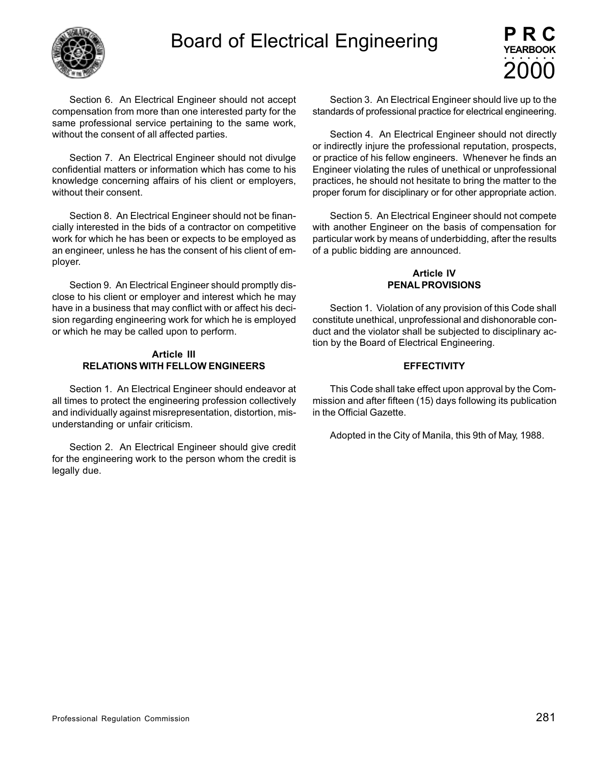



Section 6. An Electrical Engineer should not accept compensation from more than one interested party for the same professional service pertaining to the same work, without the consent of all affected parties.

Section 7. An Electrical Engineer should not divulge confidential matters or information which has come to his knowledge concerning affairs of his client or employers, without their consent.

Section 8. An Electrical Engineer should not be financially interested in the bids of a contractor on competitive work for which he has been or expects to be employed as an engineer, unless he has the consent of his client of employer.

Section 9. An Electrical Engineer should promptly disclose to his client or employer and interest which he may have in a business that may conflict with or affect his decision regarding engineering work for which he is employed or which he may be called upon to perform.

#### **Article III RELATIONS WITH FELLOW ENGINEERS**

Section 1. An Electrical Engineer should endeavor at all times to protect the engineering profession collectively and individually against misrepresentation, distortion, misunderstanding or unfair criticism.

Section 2. An Electrical Engineer should give credit for the engineering work to the person whom the credit is legally due.

Section 3. An Electrical Engineer should live up to the standards of professional practice for electrical engineering.

Section 4. An Electrical Engineer should not directly or indirectly injure the professional reputation, prospects, or practice of his fellow engineers. Whenever he finds an Engineer violating the rules of unethical or unprofessional practices, he should not hesitate to bring the matter to the proper forum for disciplinary or for other appropriate action.

Section 5. An Electrical Engineer should not compete with another Engineer on the basis of compensation for particular work by means of underbidding, after the results of a public bidding are announced.

#### **Article IV PENAL PROVISIONS**

Section 1. Violation of any provision of this Code shall constitute unethical, unprofessional and dishonorable conduct and the violator shall be subjected to disciplinary action by the Board of Electrical Engineering.

#### **EFFECTIVITY**

This Code shall take effect upon approval by the Commission and after fifteen (15) days following its publication in the Official Gazette.

Adopted in the City of Manila, this 9th of May, 1988.